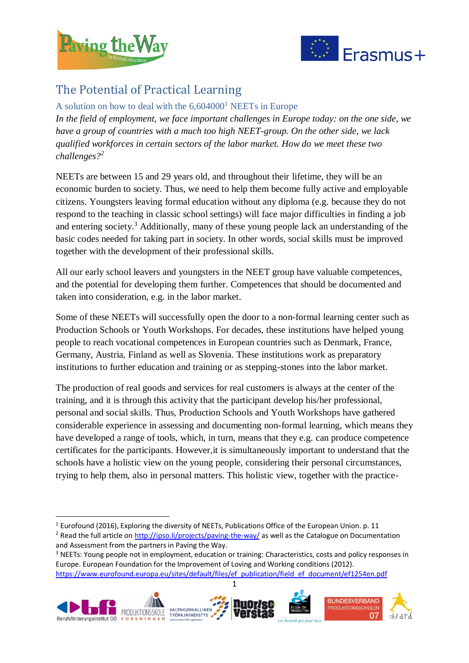

1



## The Potential of Practical Learning

A solution on how to deal with the  $6.604000<sup>1</sup>$  NEETs in Europe *In the field of employment, we face important challenges in Europe today: on the one side, we have a group of countries with a much too high NEET-group. On the other side, we lack qualified workforces in certain sectors of the labor market. How do we meet these two challenges?<sup>2</sup>*

NEETs are between 15 and 29 years old, and throughout their lifetime, they will be an economic burden to society. Thus, we need to help them become fully active and employable citizens. Youngsters leaving formal education without any diploma (e.g. because they do not respond to the teaching in classic school settings) will face major difficulties in finding a job and entering society.<sup>3</sup> Additionally, many of these young people lack an understanding of the basic codes needed for taking part in society. In other words, social skills must be improved together with the development of their professional skills.

All our early school leavers and youngsters in the NEET group have valuable competences, and the potential for developing them further. Competences that should be documented and taken into consideration, e.g. in the labor market.

Some of these NEETs will successfully open the door to a non-formal learning center such as Production Schools or Youth Workshops. For decades, these institutions have helped young people to reach vocational competences in European countries such as Denmark, France, Germany, Austria, Finland as well as Slovenia. These institutions work as preparatory institutions to further education and training or as stepping-stones into the labor market.

The production of real goods and services for real customers is always at the center of the training, and it is through this activity that the participant develop his/her professional, personal and social skills. Thus, Production Schools and Youth Workshops have gathered considerable experience in assessing and documenting non-formal learning, which means they have developed a range of tools, which, in turn, means that they e.g. can produce competence certificates for the participants. However,it is simultaneously important to understand that the schools have a holistic view on the young people, considering their personal circumstances, trying to help them, also in personal matters. This holistic view, together with the practice-

<sup>&</sup>lt;sup>3</sup> NEETs: Young people not in employment, education or training: Characteristics, costs and policy responses in Europe. European Foundation for the Improvement of Loving and Working conditions (2012). [https://www.eurofound.europa.eu/sites/default/files/ef\\_publication/field\\_ef\\_document/ef1254en.pdf](https://www.eurofound.europa.eu/sites/default/files/ef_publication/field_ef_document/ef1254en.pdf) 



 $1$  Eurofound (2016), Exploring the diversity of NEETs, Publications Office of the European Union. p. 11

<sup>&</sup>lt;sup>2</sup> Read the full article o[n http://ipso.li/projects/paving-the-way/](http://ipso.li/projects/paving-the-way/) as well as the Catalogue on Documentation and Assessment from the partners in Paving the Way.